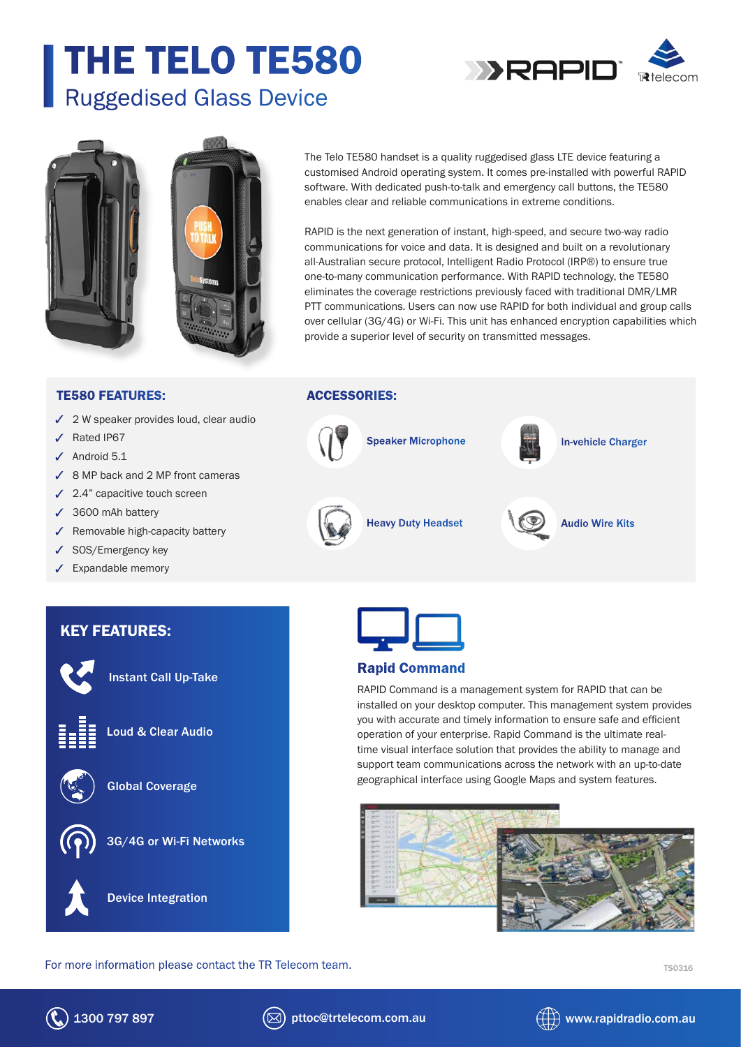# THE TELO TE580 Ruggedised Glass Device





The Telo TE580 handset is a quality ruggedised glass LTE device featuring a customised Android operating system. It comes pre-installed with powerful RAPID software. With dedicated push-to-talk and emergency call buttons, the TE580 enables clear and reliable communications in extreme conditions.

RAPID is the next generation of instant, high-speed, and secure two-way radio communications for voice and data. It is designed and built on a revolutionary all-Australian secure protocol, Intelligent Radio Protocol (IRP®) to ensure true one-to-many communication performance. With RAPID technology, the TE580 eliminates the coverage restrictions previously faced with traditional DMR/LMR PTT communications. Users can now use RAPID for both individual and group calls over cellular (3G/4G) or Wi-Fi. This unit has enhanced encryption capabilities which provide a superior level of security on transmitted messages.

#### TE580 FEATURES:

- $\checkmark$  2 W speaker provides loud, clear audio
- Rated IP67
- $\sqrt{\phantom{a}}$  Android 5.1
- 8 MP back and 2 MP front cameras
- $\checkmark$  2.4" capacitive touch screen
- 3600 mAh battery
- $\checkmark$  Removable high-capacity battery

Instant Call Up-Take

Loud & Clear Audio

Global Coverage

Device Integration

3G/4G or Wi-Fi Networks

- ✔ SOS/Emergency key
- $\checkmark$  Expandable memory

KEY FEATURES:

# ACCESSORIES:





### Rapid Command

RAPID Command is a management system for RAPID that can be installed on your desktop computer. This management system provides you with accurate and timely information to ensure safe and efficient operation of your enterprise. Rapid Command is the ultimate realtime visual interface solution that provides the ability to manage and support team communications across the network with an up-to-date geographical interface using Google Maps and system features.



#### For more information please contact the TR Telecom team. The state of the TS0316